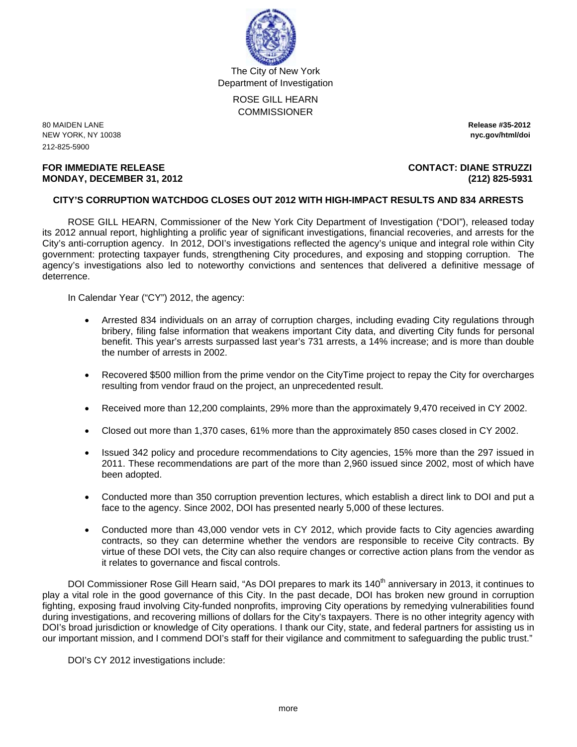

The City of New York Department of Investigation

> ROSE GILL HEARN **COMMISSIONER**

80 MAIDEN LANE **Release #35-2012**  NEW YORK, NY 10038 **nyc.gov/html/doi** 212-825-5900

#### **FOR IMMEDIATE RELEASE CONTACT: DIANE STRUZZI MONDAY, DECEMBER 31, 2012 (212) 825-5931**

#### **CITY'S CORRUPTION WATCHDOG CLOSES OUT 2012 WITH HIGH-IMPACT RESULTS AND 834 ARRESTS**

ROSE GILL HEARN, Commissioner of the New York City Department of Investigation ("DOI"), released today its 2012 annual report, highlighting a prolific year of significant investigations, financial recoveries, and arrests for the City's anti-corruption agency. In 2012, DOI's investigations reflected the agency's unique and integral role within City government: protecting taxpayer funds, strengthening City procedures, and exposing and stopping corruption. The agency's investigations also led to noteworthy convictions and sentences that delivered a definitive message of deterrence.

In Calendar Year ("CY") 2012, the agency:

- Arrested 834 individuals on an array of corruption charges, including evading City regulations through bribery, filing false information that weakens important City data, and diverting City funds for personal benefit. This year's arrests surpassed last year's 731 arrests, a 14% increase; and is more than double the number of arrests in 2002.
- Recovered \$500 million from the prime vendor on the CityTime project to repay the City for overcharges resulting from vendor fraud on the project, an unprecedented result.
- Received more than 12,200 complaints, 29% more than the approximately 9,470 received in CY 2002.
- Closed out more than 1,370 cases, 61% more than the approximately 850 cases closed in CY 2002.
- Issued 342 policy and procedure recommendations to City agencies, 15% more than the 297 issued in 2011. These recommendations are part of the more than 2,960 issued since 2002, most of which have been adopted.
- Conducted more than 350 corruption prevention lectures, which establish a direct link to DOI and put a face to the agency. Since 2002, DOI has presented nearly 5,000 of these lectures.
- Conducted more than 43,000 vendor vets in CY 2012, which provide facts to City agencies awarding contracts, so they can determine whether the vendors are responsible to receive City contracts. By virtue of these DOI vets, the City can also require changes or corrective action plans from the vendor as it relates to governance and fiscal controls.

DOI Commissioner Rose Gill Hearn said, "As DOI prepares to mark its 140<sup>th</sup> anniversary in 2013, it continues to play a vital role in the good governance of this City. In the past decade, DOI has broken new ground in corruption fighting, exposing fraud involving City-funded nonprofits, improving City operations by remedying vulnerabilities found during investigations, and recovering millions of dollars for the City's taxpayers. There is no other integrity agency with DOI's broad jurisdiction or knowledge of City operations. I thank our City, state, and federal partners for assisting us in our important mission, and I commend DOI's staff for their vigilance and commitment to safeguarding the public trust."

DOI's CY 2012 investigations include: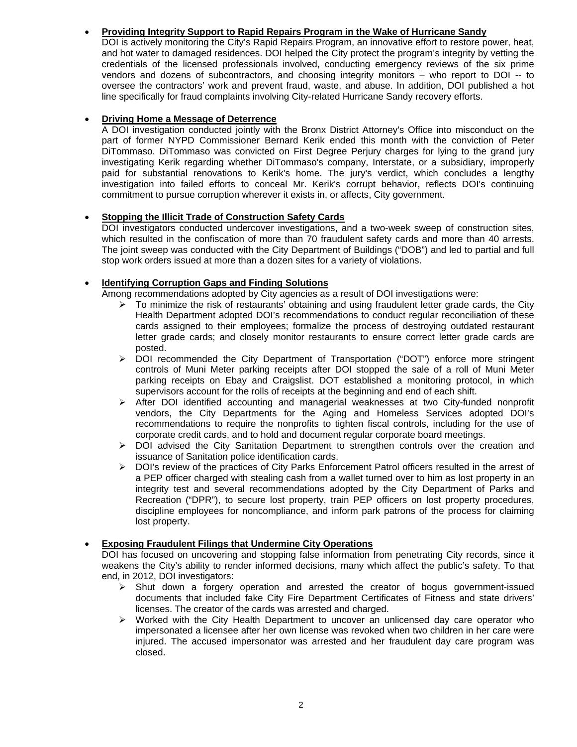# • **Providing Integrity Support to Rapid Repairs Program in the Wake of Hurricane Sandy**

DOI is actively monitoring the City's Rapid Repairs Program, an innovative effort to restore power, heat, and hot water to damaged residences. DOI helped the City protect the program's integrity by vetting the credentials of the licensed professionals involved, conducting emergency reviews of the six prime vendors and dozens of subcontractors, and choosing integrity monitors – who report to DOI -- to oversee the contractors' work and prevent fraud, waste, and abuse. In addition, DOI published a hot line specifically for fraud complaints involving City-related Hurricane Sandy recovery efforts.

# • **Driving Home a Message of Deterrence**

A DOI investigation conducted jointly with the Bronx District Attorney's Office into misconduct on the part of former NYPD Commissioner Bernard Kerik ended this month with the conviction of Peter DiTommaso. DiTommaso was convicted on First Degree Perjury charges for lying to the grand jury investigating Kerik regarding whether DiTommaso's company, Interstate, or a subsidiary, improperly paid for substantial renovations to Kerik's home. The jury's verdict, which concludes a lengthy investigation into failed efforts to conceal Mr. Kerik's corrupt behavior, reflects DOI's continuing commitment to pursue corruption wherever it exists in, or affects, City government.

## • **Stopping the Illicit Trade of Construction Safety Cards**

DOI investigators conducted undercover investigations, and a two-week sweep of construction sites, which resulted in the confiscation of more than 70 fraudulent safety cards and more than 40 arrests. The joint sweep was conducted with the City Department of Buildings ("DOB") and led to partial and full stop work orders issued at more than a dozen sites for a variety of violations.

# • **Identifying Corruption Gaps and Finding Solutions**

Among recommendations adopted by City agencies as a result of DOI investigations were:

- $\triangleright$  To minimize the risk of restaurants' obtaining and using fraudulent letter grade cards, the City Health Department adopted DOI's recommendations to conduct regular reconciliation of these cards assigned to their employees; formalize the process of destroying outdated restaurant letter grade cards; and closely monitor restaurants to ensure correct letter grade cards are posted.
- $\triangleright$  DOI recommended the City Department of Transportation ("DOT") enforce more stringent controls of Muni Meter parking receipts after DOI stopped the sale of a roll of Muni Meter parking receipts on Ebay and Craigslist. DOT established a monitoring protocol, in which supervisors account for the rolls of receipts at the beginning and end of each shift.
- ¾ After DOI identified accounting and managerial weaknesses at two City-funded nonprofit vendors, the City Departments for the Aging and Homeless Services adopted DOI's recommendations to require the nonprofits to tighten fiscal controls, including for the use of corporate credit cards, and to hold and document regular corporate board meetings.
- $\triangleright$  DOI advised the City Sanitation Department to strengthen controls over the creation and issuance of Sanitation police identification cards.
- ¾ DOI's review of the practices of City Parks Enforcement Patrol officers resulted in the arrest of a PEP officer charged with stealing cash from a wallet turned over to him as lost property in an integrity test and several recommendations adopted by the City Department of Parks and Recreation ("DPR"), to secure lost property, train PEP officers on lost property procedures, discipline employees for noncompliance, and inform park patrons of the process for claiming lost property.

### • **Exposing Fraudulent Filings that Undermine City Operations**

DOI has focused on uncovering and stopping false information from penetrating City records, since it weakens the City's ability to render informed decisions, many which affect the public's safety. To that end, in 2012, DOI investigators:

- $\triangleright$  Shut down a forgery operation and arrested the creator of bogus government-issued documents that included fake City Fire Department Certificates of Fitness and state drivers' licenses. The creator of the cards was arrested and charged.
- $\triangleright$  Worked with the City Health Department to uncover an unlicensed day care operator who impersonated a licensee after her own license was revoked when two children in her care were injured. The accused impersonator was arrested and her fraudulent day care program was closed.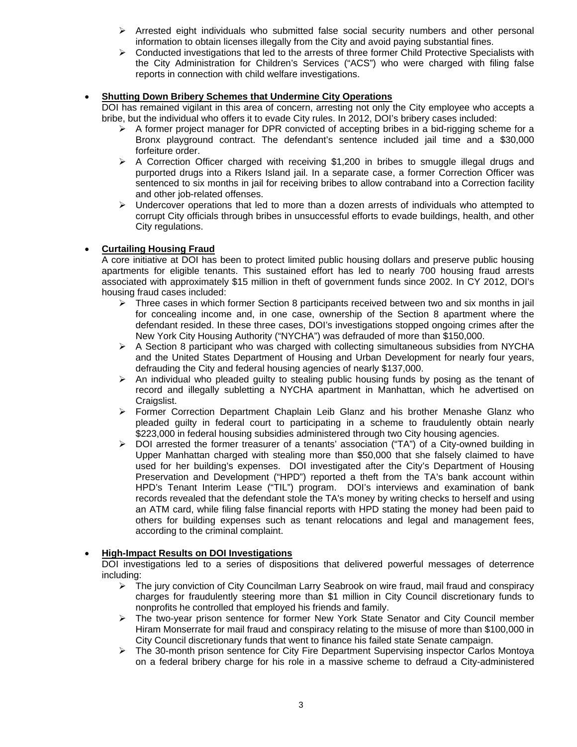- $\triangleright$  Arrested eight individuals who submitted false social security numbers and other personal information to obtain licenses illegally from the City and avoid paying substantial fines.
- $\triangleright$  Conducted investigations that led to the arrests of three former Child Protective Specialists with the City Administration for Children's Services ("ACS") who were charged with filing false reports in connection with child welfare investigations.

## • **Shutting Down Bribery Schemes that Undermine City Operations**

DOI has remained vigilant in this area of concern, arresting not only the City employee who accepts a bribe, but the individual who offers it to evade City rules. In 2012, DOI's bribery cases included:

- $\triangleright$  A former project manager for DPR convicted of accepting bribes in a bid-rigging scheme for a Bronx playground contract. The defendant's sentence included jail time and a \$30,000 forfeiture order.
- $\triangleright$  A Correction Officer charged with receiving \$1,200 in bribes to smuggle illegal drugs and purported drugs into a Rikers Island jail. In a separate case, a former Correction Officer was sentenced to six months in jail for receiving bribes to allow contraband into a Correction facility and other job-related offenses.
- $\triangleright$  Undercover operations that led to more than a dozen arrests of individuals who attempted to corrupt City officials through bribes in unsuccessful efforts to evade buildings, health, and other City regulations.

# • **Curtailing Housing Fraud**

A core initiative at DOI has been to protect limited public housing dollars and preserve public housing apartments for eligible tenants. This sustained effort has led to nearly 700 housing fraud arrests associated with approximately \$15 million in theft of government funds since 2002. In CY 2012, DOI's housing fraud cases included:

- $\triangleright$  Three cases in which former Section 8 participants received between two and six months in jail for concealing income and, in one case, ownership of the Section 8 apartment where the defendant resided. In these three cases, DOI's investigations stopped ongoing crimes after the New York City Housing Authority ("NYCHA") was defrauded of more than \$150,000.
- $\triangleright$  A Section 8 participant who was charged with collecting simultaneous subsidies from NYCHA and the United States Department of Housing and Urban Development for nearly four years, defrauding the City and federal housing agencies of nearly \$137,000.
- $\triangleright$  An individual who pleaded guilty to stealing public housing funds by posing as the tenant of record and illegally subletting a NYCHA apartment in Manhattan, which he advertised on Craigslist.
- ¾ Former Correction Department Chaplain Leib Glanz and his brother Menashe Glanz who pleaded guilty in federal court to participating in a scheme to fraudulently obtain nearly \$223,000 in federal housing subsidies administered through two City housing agencies.
- $\triangleright$  DOI arrested the former treasurer of a tenants' association ("TA") of a City-owned building in Upper Manhattan charged with stealing more than \$50,000 that she falsely claimed to have used for her building's expenses. DOI investigated after the City's Department of Housing Preservation and Development ("HPD") reported a theft from the TA's bank account within HPD's Tenant Interim Lease ("TIL") program. DOI's interviews and examination of bank records revealed that the defendant stole the TA's money by writing checks to herself and using an ATM card, while filing false financial reports with HPD stating the money had been paid to others for building expenses such as tenant relocations and legal and management fees, according to the criminal complaint.

### • **High-Impact Results on DOI Investigations**

DOI investigations led to a series of dispositions that delivered powerful messages of deterrence including:

- ¾ The jury conviction of City Councilman Larry Seabrook on wire fraud, mail fraud and conspiracy charges for fraudulently steering more than \$1 million in City Council discretionary funds to nonprofits he controlled that employed his friends and family.
- ¾ The two-year prison sentence for former New York State Senator and City Council member Hiram Monserrate for mail fraud and conspiracy relating to the misuse of more than \$100,000 in City Council discretionary funds that went to finance his failed state Senate campaign.
- ¾ The 30-month prison sentence for City Fire Department Supervising inspector Carlos Montoya on a federal bribery charge for his role in a massive scheme to defraud a City-administered